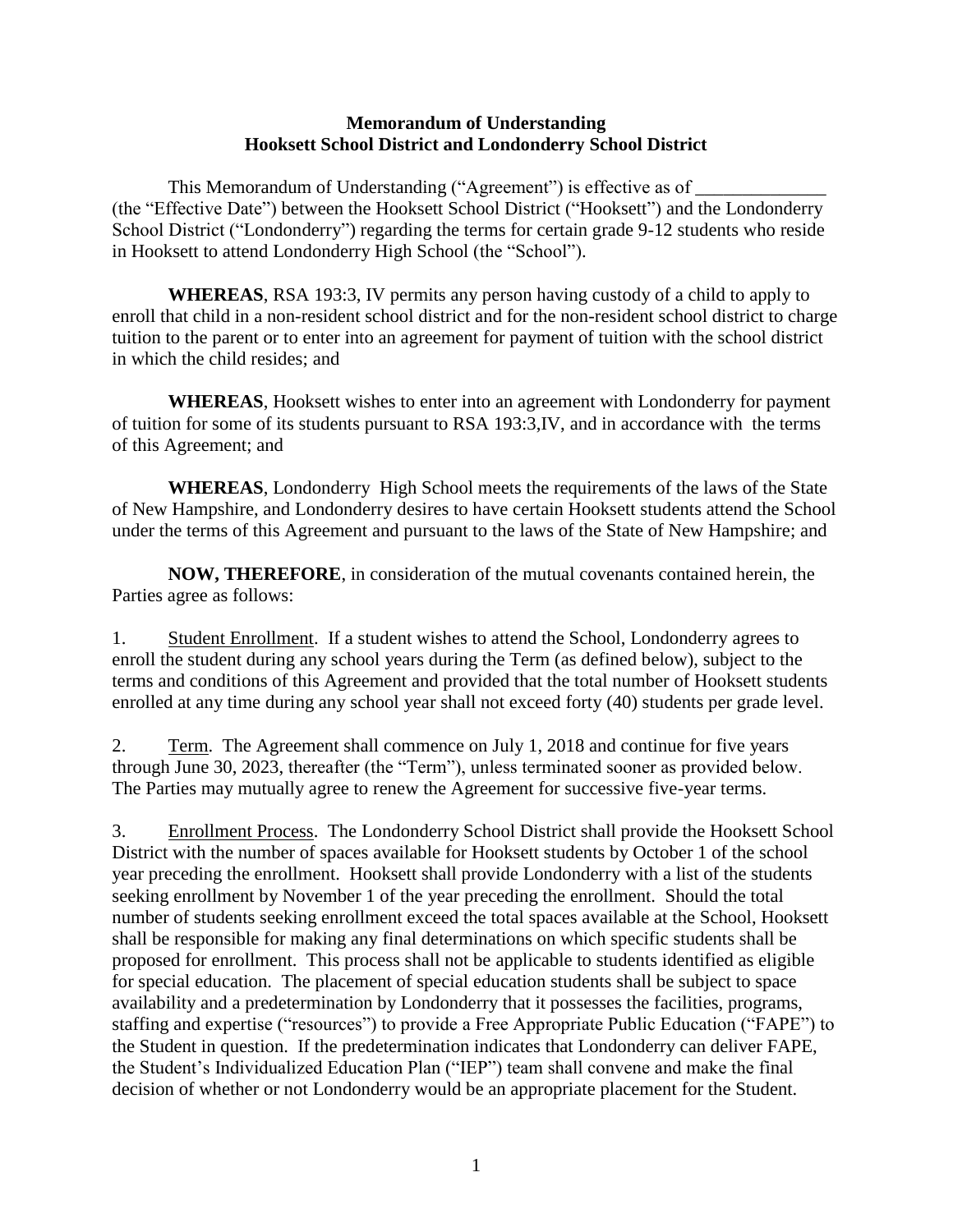## **Memorandum of Understanding Hooksett School District and Londonderry School District**

This Memorandum of Understanding ("Agreement") is effective as of (the "Effective Date") between the Hooksett School District ("Hooksett") and the Londonderry School District ("Londonderry") regarding the terms for certain grade 9-12 students who reside in Hooksett to attend Londonderry High School (the "School").

**WHEREAS**, RSA 193:3, IV permits any person having custody of a child to apply to enroll that child in a non-resident school district and for the non-resident school district to charge tuition to the parent or to enter into an agreement for payment of tuition with the school district in which the child resides; and

**WHEREAS**, Hooksett wishes to enter into an agreement with Londonderry for payment of tuition for some of its students pursuant to RSA 193:3,IV, and in accordance with the terms of this Agreement; and

**WHEREAS**, Londonderry High School meets the requirements of the laws of the State of New Hampshire, and Londonderry desires to have certain Hooksett students attend the School under the terms of this Agreement and pursuant to the laws of the State of New Hampshire; and

**NOW, THEREFORE**, in consideration of the mutual covenants contained herein, the Parties agree as follows:

1. Student Enrollment. If a student wishes to attend the School, Londonderry agrees to enroll the student during any school years during the Term (as defined below), subject to the terms and conditions of this Agreement and provided that the total number of Hooksett students enrolled at any time during any school year shall not exceed forty (40) students per grade level.

2. Term. The Agreement shall commence on July 1, 2018 and continue for five years through June 30, 2023, thereafter (the "Term"), unless terminated sooner as provided below. The Parties may mutually agree to renew the Agreement for successive five-year terms.

3. Enrollment Process. The Londonderry School District shall provide the Hooksett School District with the number of spaces available for Hooksett students by October 1 of the school year preceding the enrollment. Hooksett shall provide Londonderry with a list of the students seeking enrollment by November 1 of the year preceding the enrollment. Should the total number of students seeking enrollment exceed the total spaces available at the School, Hooksett shall be responsible for making any final determinations on which specific students shall be proposed for enrollment. This process shall not be applicable to students identified as eligible for special education. The placement of special education students shall be subject to space availability and a predetermination by Londonderry that it possesses the facilities, programs, staffing and expertise ("resources") to provide a Free Appropriate Public Education ("FAPE") to the Student in question. If the predetermination indicates that Londonderry can deliver FAPE, the Student's Individualized Education Plan ("IEP") team shall convene and make the final decision of whether or not Londonderry would be an appropriate placement for the Student.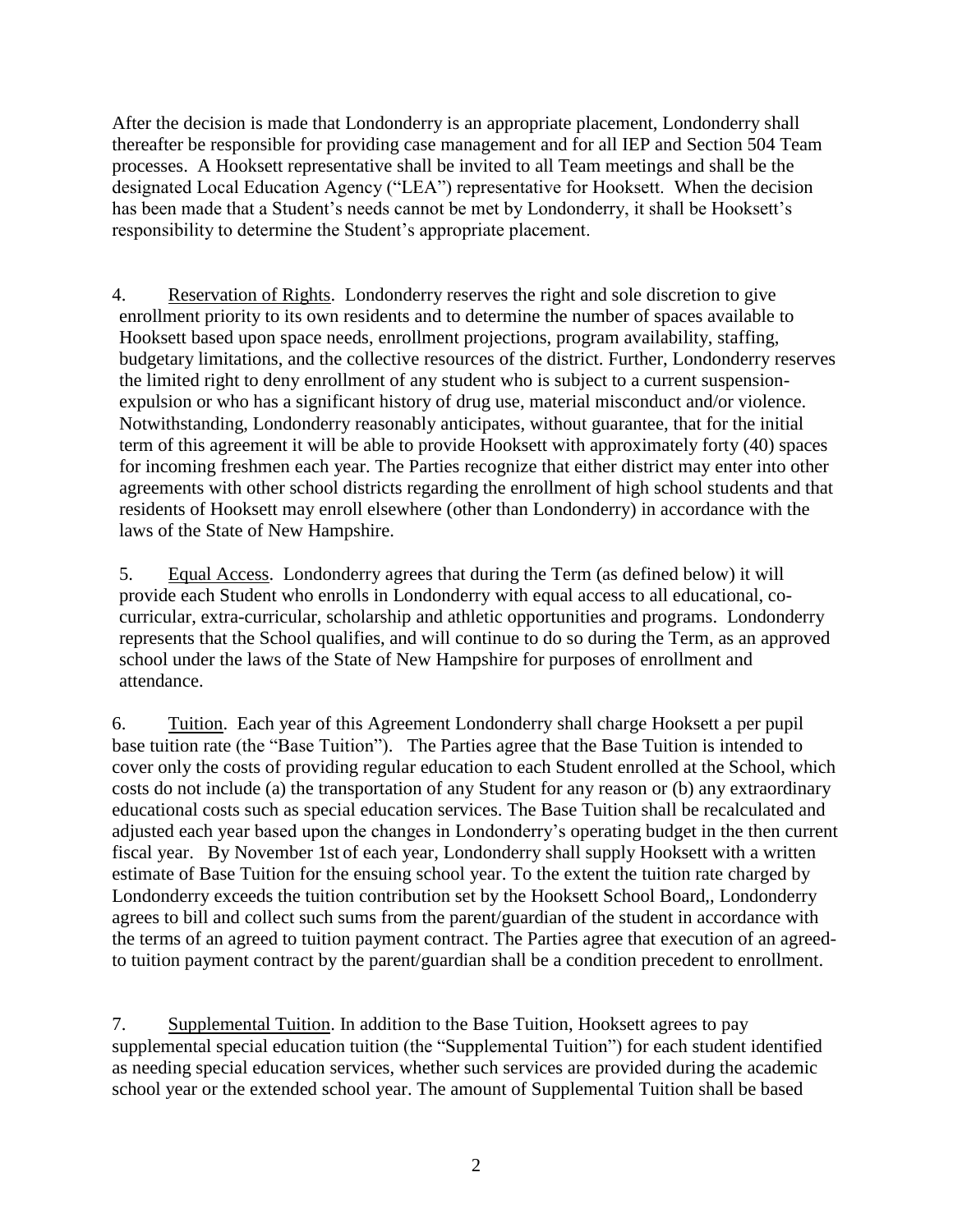After the decision is made that Londonderry is an appropriate placement, Londonderry shall thereafter be responsible for providing case management and for all IEP and Section 504 Team processes. A Hooksett representative shall be invited to all Team meetings and shall be the designated Local Education Agency ("LEA") representative for Hooksett. When the decision has been made that a Student's needs cannot be met by Londonderry, it shall be Hooksett's responsibility to determine the Student's appropriate placement.

4. Reservation of Rights. Londonderry reserves the right and sole discretion to give enrollment priority to its own residents and to determine the number of spaces available to Hooksett based upon space needs, enrollment projections, program availability, staffing, budgetary limitations, and the collective resources of the district. Further, Londonderry reserves the limited right to deny enrollment of any student who is subject to a current suspensionexpulsion or who has a significant history of drug use, material misconduct and/or violence. Notwithstanding, Londonderry reasonably anticipates, without guarantee, that for the initial term of this agreement it will be able to provide Hooksett with approximately forty (40) spaces for incoming freshmen each year. The Parties recognize that either district may enter into other agreements with other school districts regarding the enrollment of high school students and that residents of Hooksett may enroll elsewhere (other than Londonderry) in accordance with the laws of the State of New Hampshire.

5. Equal Access. Londonderry agrees that during the Term (as defined below) it will provide each Student who enrolls in Londonderry with equal access to all educational, cocurricular, extra-curricular, scholarship and athletic opportunities and programs. Londonderry represents that the School qualifies, and will continue to do so during the Term, as an approved school under the laws of the State of New Hampshire for purposes of enrollment and attendance.

6. Tuition. Each year of this Agreement Londonderry shall charge Hooksett a per pupil base tuition rate (the "Base Tuition"). The Parties agree that the Base Tuition is intended to cover only the costs of providing regular education to each Student enrolled at the School, which costs do not include (a) the transportation of any Student for any reason or (b) any extraordinary educational costs such as special education services. The Base Tuition shall be recalculated and adjusted each year based upon the changes in Londonderry's operating budget in the then current fiscal year. By November 1st of each year, Londonderry shall supply Hooksett with a written estimate of Base Tuition for the ensuing school year. To the extent the tuition rate charged by Londonderry exceeds the tuition contribution set by the Hooksett School Board,, Londonderry agrees to bill and collect such sums from the parent/guardian of the student in accordance with the terms of an agreed to tuition payment contract. The Parties agree that execution of an agreedto tuition payment contract by the parent/guardian shall be a condition precedent to enrollment.

7. Supplemental Tuition. In addition to the Base Tuition, Hooksett agrees to pay supplemental special education tuition (the "Supplemental Tuition") for each student identified as needing special education services, whether such services are provided during the academic school year or the extended school year. The amount of Supplemental Tuition shall be based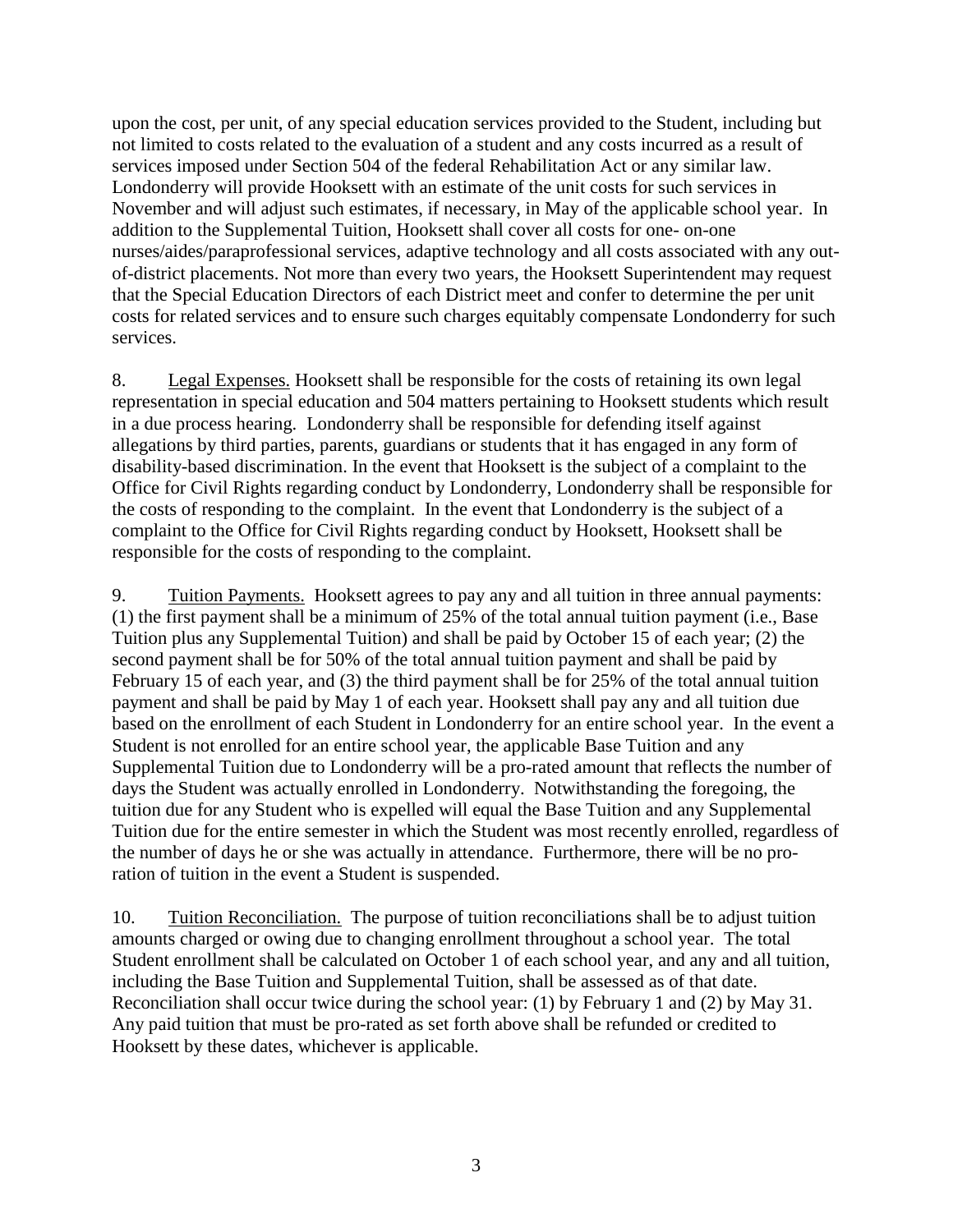upon the cost, per unit, of any special education services provided to the Student, including but not limited to costs related to the evaluation of a student and any costs incurred as a result of services imposed under Section 504 of the federal Rehabilitation Act or any similar law. Londonderry will provide Hooksett with an estimate of the unit costs for such services in November and will adjust such estimates, if necessary, in May of the applicable school year. In addition to the Supplemental Tuition, Hooksett shall cover all costs for one- on-one nurses/aides/paraprofessional services, adaptive technology and all costs associated with any outof-district placements. Not more than every two years, the Hooksett Superintendent may request that the Special Education Directors of each District meet and confer to determine the per unit costs for related services and to ensure such charges equitably compensate Londonderry for such services.

8. Legal Expenses. Hooksett shall be responsible for the costs of retaining its own legal representation in special education and 504 matters pertaining to Hooksett students which result in a due process hearing. Londonderry shall be responsible for defending itself against allegations by third parties, parents, guardians or students that it has engaged in any form of disability-based discrimination. In the event that Hooksett is the subject of a complaint to the Office for Civil Rights regarding conduct by Londonderry, Londonderry shall be responsible for the costs of responding to the complaint. In the event that Londonderry is the subject of a complaint to the Office for Civil Rights regarding conduct by Hooksett, Hooksett shall be responsible for the costs of responding to the complaint.

9. Tuition Payments. Hooksett agrees to pay any and all tuition in three annual payments: (1) the first payment shall be a minimum of 25% of the total annual tuition payment (i.e., Base Tuition plus any Supplemental Tuition) and shall be paid by October 15 of each year; (2) the second payment shall be for 50% of the total annual tuition payment and shall be paid by February 15 of each year, and (3) the third payment shall be for 25% of the total annual tuition payment and shall be paid by May 1 of each year. Hooksett shall pay any and all tuition due based on the enrollment of each Student in Londonderry for an entire school year. In the event a Student is not enrolled for an entire school year, the applicable Base Tuition and any Supplemental Tuition due to Londonderry will be a pro-rated amount that reflects the number of days the Student was actually enrolled in Londonderry. Notwithstanding the foregoing, the tuition due for any Student who is expelled will equal the Base Tuition and any Supplemental Tuition due for the entire semester in which the Student was most recently enrolled, regardless of the number of days he or she was actually in attendance. Furthermore, there will be no proration of tuition in the event a Student is suspended.

10. Tuition Reconciliation. The purpose of tuition reconciliations shall be to adjust tuition amounts charged or owing due to changing enrollment throughout a school year. The total Student enrollment shall be calculated on October 1 of each school year, and any and all tuition, including the Base Tuition and Supplemental Tuition, shall be assessed as of that date. Reconciliation shall occur twice during the school year: (1) by February 1 and (2) by May 31. Any paid tuition that must be pro-rated as set forth above shall be refunded or credited to Hooksett by these dates, whichever is applicable.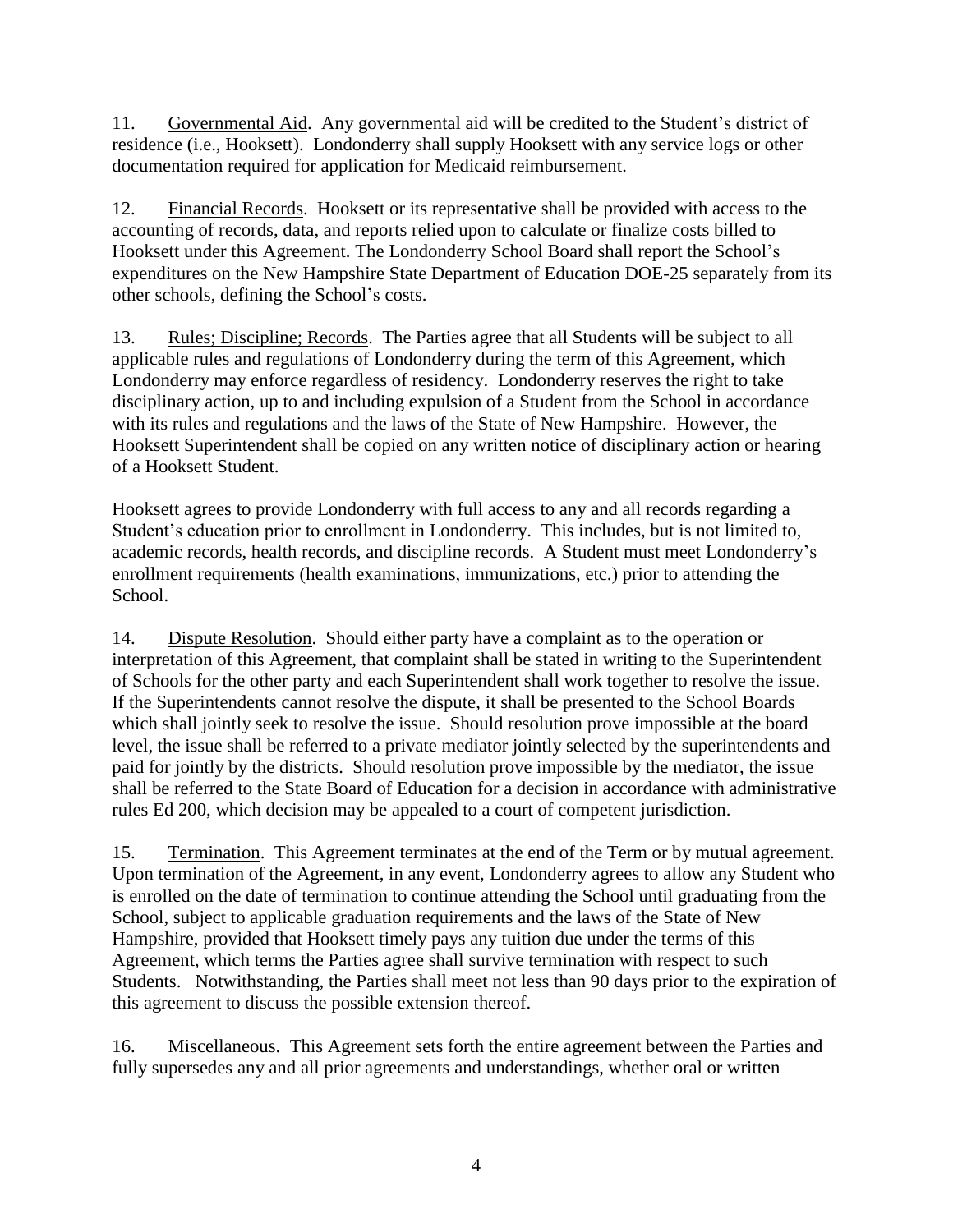11. Governmental Aid. Any governmental aid will be credited to the Student's district of residence (i.e., Hooksett). Londonderry shall supply Hooksett with any service logs or other documentation required for application for Medicaid reimbursement.

12. Financial Records. Hooksett or its representative shall be provided with access to the accounting of records, data, and reports relied upon to calculate or finalize costs billed to Hooksett under this Agreement. The Londonderry School Board shall report the School's expenditures on the New Hampshire State Department of Education DOE-25 separately from its other schools, defining the School's costs.

13. Rules; Discipline; Records. The Parties agree that all Students will be subject to all applicable rules and regulations of Londonderry during the term of this Agreement, which Londonderry may enforce regardless of residency. Londonderry reserves the right to take disciplinary action, up to and including expulsion of a Student from the School in accordance with its rules and regulations and the laws of the State of New Hampshire. However, the Hooksett Superintendent shall be copied on any written notice of disciplinary action or hearing of a Hooksett Student.

Hooksett agrees to provide Londonderry with full access to any and all records regarding a Student's education prior to enrollment in Londonderry. This includes, but is not limited to, academic records, health records, and discipline records. A Student must meet Londonderry's enrollment requirements (health examinations, immunizations, etc.) prior to attending the School.

14. Dispute Resolution. Should either party have a complaint as to the operation or interpretation of this Agreement, that complaint shall be stated in writing to the Superintendent of Schools for the other party and each Superintendent shall work together to resolve the issue. If the Superintendents cannot resolve the dispute, it shall be presented to the School Boards which shall jointly seek to resolve the issue. Should resolution prove impossible at the board level, the issue shall be referred to a private mediator jointly selected by the superintendents and paid for jointly by the districts. Should resolution prove impossible by the mediator, the issue shall be referred to the State Board of Education for a decision in accordance with administrative rules Ed 200, which decision may be appealed to a court of competent jurisdiction.

15. Termination. This Agreement terminates at the end of the Term or by mutual agreement. Upon termination of the Agreement, in any event, Londonderry agrees to allow any Student who is enrolled on the date of termination to continue attending the School until graduating from the School, subject to applicable graduation requirements and the laws of the State of New Hampshire, provided that Hooksett timely pays any tuition due under the terms of this Agreement, which terms the Parties agree shall survive termination with respect to such Students. Notwithstanding, the Parties shall meet not less than 90 days prior to the expiration of this agreement to discuss the possible extension thereof.

16. Miscellaneous. This Agreement sets forth the entire agreement between the Parties and fully supersedes any and all prior agreements and understandings, whether oral or written